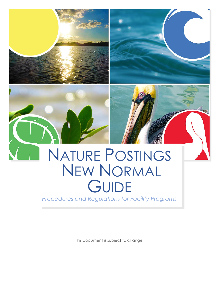

This document is subject to change.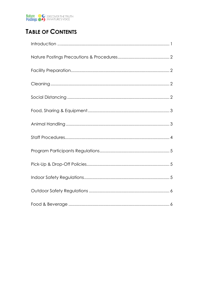

# **TABLE OF CONTENTS**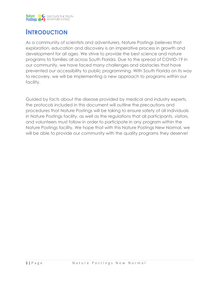

## **INTRODUCTION**

As a community of scientists and adventurers, Nature Postings believes that exploration, education and discovery is an imperative process in growth and development for all ages. We strive to provide the best science and nature programs to families all across South Florida. Due to the spread of COVID-19 in our community, we have faced many challenges and obstacles that have prevented our accessibility to public programming. With South Florida on its way to recovery, we will be implementing a new approach to programs within our facility.

Guided by facts about the disease provided by medical and industry experts, the protocols included in this document will outline the precautions and procedures that Nature Postings will be taking to ensure safety of all individuals in Nature Postings facility, as well as the regulations that all participants, visitors, and volunteers must follow in order to participate in any program within the Nature Postings facility. We hope that with this Nature Postings New Normal, we will be able to provide our community with the quality programs they deserve!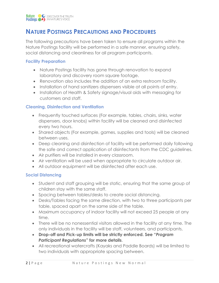

## **NATURE POSTINGS PRECAUTIONS AND PROCEDURES**

The following precautions have been taken to ensure all programs within the Nature Postings facility will be performed in a safe manner, ensuring safety, social distancing and cleanliness for all program participants.

#### **Facility Preparation**

- Nature Postings facility has gone through renovation to expand laboratory and discovery room square footage.
- Renovation also includes the addition of an extra restroom facility.
- Installation of hand sanitizers dispensers visible at all points of entry.
- Installation of Health & Safety signage/visual aids with messaging for customers and staff.

### **Cleaning, Disinfection and Ventilation**

- Frequently touched surfaces (For example, tables, chairs, sinks, water dispensers, door knobs) within facility will be cleaned and disinfected every two hours.
- Shared objects (For example, games, supplies and tools) will be cleaned between uses.
- Deep cleaning and disinfection of facility will be performed daily following the safe and correct application of disinfectants from the CDC guidelines.
- Air purifiers will be installed in every classroom.
- Air ventilation will be used when appropriate to circulate outdoor air.
- All outdoor equipment will be disinfected after each use.

### **Social Distancing**

- Student and staff grouping will be static, ensuring that the same group of children stay with the same staff.
- Spacing between tables/desks to create social distancing.
- Desks/Tables facing the same direction, with two to three participants per table, spaced apart on the same side of the table.
- Maximum occupancy of indoor facility will not exceed 25 people at any time.
- There will be no nonessential visitors allowed in the facility at any time. The only individuals in the facility will be staff, volunteers, and participants.
- **Drop-off and Pick-up limits will be strictly enforced. See "***Program Participant Regulations***" for more details**.
- All recreational watercrafts (Kayaks and Paddle Boards) will be limited to two individuals with appropriate spacing between.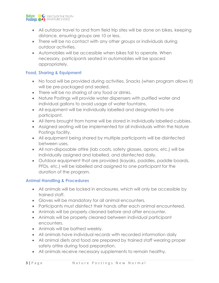

- All outdoor travel to and from field trip sites will be done on bikes, keeping distance, ensuring groups are 10 or less.
- There will be no contact with any other groups or individuals during outdoor activities.
- Automobiles will be accessible when bikes fail to operate. When necessary, participants seated in automobiles will be spaced appropriately.

### **Food, Sharing & Equipment**

- No food will be provided during activities. Snacks (when program allows it) will be pre-packaged and sealed.
- There will be no sharing of any food or drinks.
- Nature Postings will provide water dispensers with purified water and individual gallons to avoid usage of water fountains.
- All equipment will be individually labelled and designated to one participant.
- All items brought from home will be stored in individually labelled cubbies.
- Assigned seating will be implemented for all individuals within the Nature Postings facility.
- All equipment being shared by multiple participants will be disinfected between uses.
- All non-disposable attire (lab coats, safety glasses, aprons, etc.) will be individually assigned and labelled, and disinfected daily.
- Outdoor equipment that are provided (kayaks, paddles, paddle boards, PFDs, etc.) will be labelled and assigned to one participant for the duration of the program.

### **Animal Handling & Procedures**

- All animals will be locked in enclosures, which will only be accessible by trained staff.
- Gloves will be mandatory for all animal encounters.
- Participants must disinfect their hands after each animal encountered.
- Animals will be properly cleaned before and after encounter.
- Animals will be properly cleaned between individual participant encounters.
- Animals will be bathed weekly.
- All animals have individual records with recorded information daily
- All animal diets and food are prepared by trained staff wearing proper safety attire during food preparation.
- All animals receive necessary supplements to remain healthy.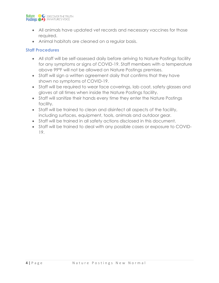

- All animals have updated vet records and necessary vaccines for those required.
- Animal habitats are cleaned on a regular basis.

### **Staff Procedures**

- All staff will be self-assessed daily before arriving to Nature Postings facility for any symptoms or signs of COVID-19. Staff members with a temperature above 99°F will not be allowed on Nature Postings premises.
- Staff will sign a written agreement daily that confirms that they have shown no symptoms of COVID-19.
- Staff will be required to wear face coverings, lab coat, safety glasses and gloves at all times when inside the Nature Postings facility.
- Staff will sanitize their hands every time they enter the Nature Postings facility.
- Staff will be trained to clean and disinfect all aspects of the facility, including surfaces, equipment, tools, animals and outdoor gear.
- Staff will be trained in all safety actions disclosed in this document.
- Staff will be trained to deal with any possible cases or exposure to COVID-19.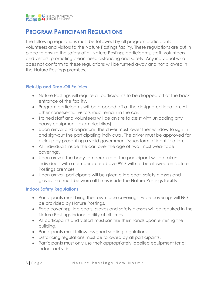## **PROGRAM PARTICIPANT REGULATIONS**

The following regulations must be followed by all program participants, volunteers and visitors to the Nature Postings facility. These regulations are put in place to ensure the safety of all Nature Postings participants, staff, volunteers and visitors, promoting cleanliness, distancing and safety. Any individual who does not conform to these regulations will be turned away and not allowed in the Nature Postings premises.

### **Pick-Up and Drop-Off Policies**

- Nature Postings will require all participants to be dropped off at the back entrance of the facility.
- Program participants will be dropped off at the designated location. All other nonessential visitors must remain in the car.
- Trained staff and volunteers will be on site to assist with unloading any heavy equipment (example: bikes)
- Upon arrival and departure, the driver must lower their window to sign-in and sign-out the participating individual. The driver must be approved for pick-up by presenting a valid government-issues form of identification.
- All individuals inside the car, over the age of two, must wear face coverings.
- Upon arrival, the body temperature of the participant will be taken. Individuals with a temperature above 99°F will not be allowed on Nature Postings premises.
- Upon arrival, participants will be given a lab coat, safety glasses and gloves that must be worn all times inside the Nature Postings facility.

### **Indoor Safety Regulations**

- Participants must bring their own face coverings. Face coverings will NOT be provided by Nature Postings.
- Face coverings, lab coats, gloves and safety glasses will be required in the Nature Postings indoor facility at all times.
- All participants and visitors must sanitize their hands upon entering the building.
- Participants must follow assigned seating regulations.
- Distancing regulations must be followed by all participants.
- Participants must only use their appropriately labelled equipment for all indoor activities.